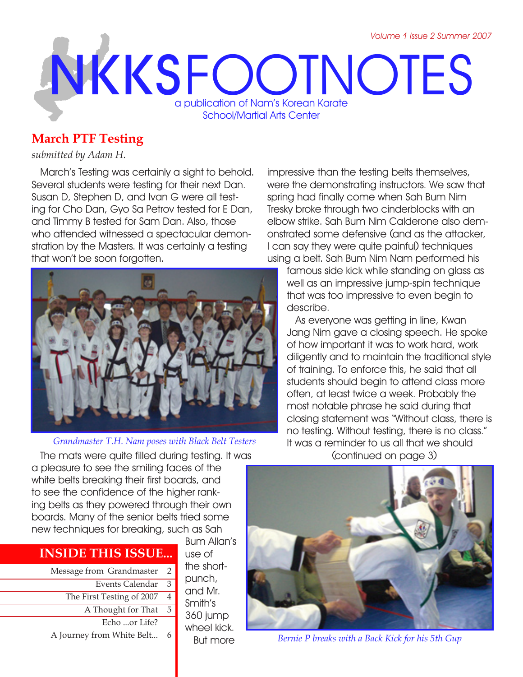# **NKKS** FOOTNOTES a publication of Nam's Korean Karate School/Martial Arts Center

# **March PTF Testing**

#### *submitted by Adam H.*

March's Testing was certainly a sight to behold. Several students were testing for their next Dan. Susan D, Stephen D, and Ivan G were all testing for Cho Dan, Gyo Sa Petrov tested for E Dan, and Timmy B tested for Sam Dan. Also, those who attended witnessed a spectacular demonstration by the Masters. It was certainly a testing that won't be soon forgotten.



*Grandmaster T.H. Nam poses with Black Belt Testers*

impressive than the testing belts themselves, were the demonstrating instructors. We saw that spring had finally come when Sah Bum Nim Tresky broke through two cinderblocks with an elbow strike. Sah Bum Nim Calderone also demonstrated some defensive (and as the attacker, I can say they were quite painful) techniques using a belt. Sah Bum Nim Nam performed his

famous side kick while standing on glass as well as an impressive jump-spin technique that was too impressive to even begin to describe.

As everyone was getting in line, Kwan Jang Nim gave a closing speech. He spoke of how important it was to work hard, work diligently and to maintain the traditional style of training. To enforce this, he said that all students should begin to attend class more often, at least twice a week. Probably the most notable phrase he said during that closing statement was "Without class, there is no testing. Without testing, there is no class." It was a reminder to us all that we should (continued on page 3)

The mats were quite filled during testing. It was a pleasure to see the smiling faces of the white belts breaking their first boards, and to see the confidence of the higher ranking belts as they powered through their own boards. Many of the senior belts tried some new techniques for breaking, such as Sah

# **INSIDE THIS ISSUE...**

Message from Grandmaster 2 Events Calendar The First Testing of 2007 A Thought for That Echo ...or Life? A Journey from White Belt... 6 3 4  $\overline{5}$ 

Bum Allan's use of the shortpunch, and Mr. Smith's 360 jump wheel kick. But more



*Bernie P breaks with a Back Kick for his 5th Gup*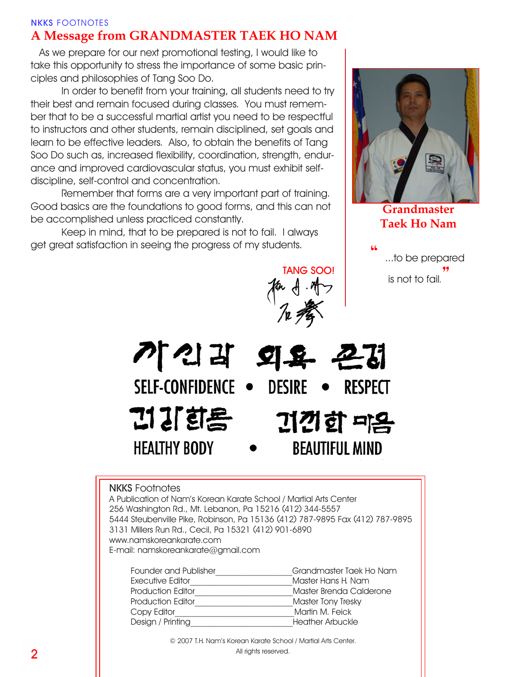#### **NKKS** FOOTNOTES **A Message from GRANDMASTER TAEK HO NAM**

As we prepare for our next promotional testing, I would like to take this opportunity to stress the importance of some basic principles and philosophies of Tang Soo Do.

In order to benefit from your training, all students need to try their best and remain focused during classes. You must remember that to be a successful martial artist you need to be respectful to instructors and other students, remain disciplined, set goals and learn to be effective leaders. Also, to obtain the benefits of Tang Soo Do such as, increased flexibility, coordination, strength, endurance and improved cardiovascular status, you must exhibit selfdiscipline, self-control and concentration.

Remember that forms are a very important part of training. Good basics are the foundations to good forms, and this can not be accomplished unless practiced constantly.

Keep in mind, that to be prepared is not to fail. I always get great satisfaction in seeing the progress of my students.



**Grandmaster Taek Ho Nam**

**"** ...to be prepared is not to fail*.***"**

기'신리 외욕 굔더 SELF-CONFIDENCE . DESIRE  $\bullet$  RESPECT 김 강희 김 기간이 매음 **HEALTHY BODY BEAUTIFUL MIND** 

**TANG SOO!**

#### **NKKS** Footnotes

A Publication of Nam's Korean Karate School / Martial Arts Center 256 Washington Rd., Mt. Lebanon, Pa 15216 (412) 344-5557 5444 Steubenville Pike, Robinson, Pa 15136 (412) 787-9895 Fax (412) 787-9895 3131 Millers Run Rd., Cecil, Pa 15321 (412) 901-6890 www.namskoreankarate.com E-mail: namskoreankarate@gmail.com

| Founder and Publisher    | Grandmaster Taek Ho Nam |
|--------------------------|-------------------------|
| Executive Editor         | Master Hans H. Nam      |
| <b>Production Editor</b> | Master Brenda Calderone |
| <b>Production Editor</b> | Master Tony Tresky      |
| Copy Editor              | Martin M. Feick         |
| Design / Printing        | Heather Arbuckle        |

© 2007 T.H. Nam's Korean Karate School / Martial Arts Center. All rights reserved.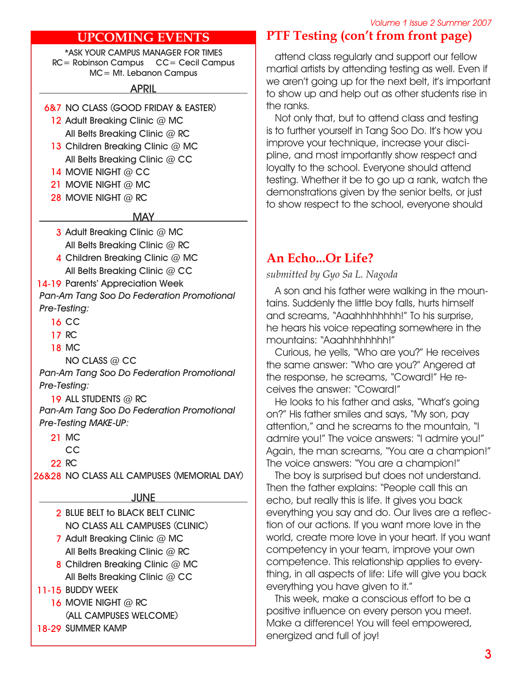#### *Volume 1 Issue 2 Summer 2007*

#### **UPCOMING EVENTS**

**\*ASK YOUR CAMPUS MANAGER FOR TIMES RC= Robinson Campus CC= Cecil Campus MC= Mt. Lebanon Campus**

**APRIL**

- **NO CLASS (GOOD FRIDAY & EASTER) 6&7**
	- **Adult Breaking Clinic @ MC 12 All Belts Breaking Clinic @ RC**
	- 13 Children Breaking Clinic @ MC **All Belts Breaking Clinic @ CC**
	- 14 MOVIE NIGHT @ CC
	- **MOVIE NIGHT @ MC 21**
	- **MOVIE NIGHT @ RC 28**

#### **MAY**

- **Adult Breaking Clinic @ MC 3 All Belts Breaking Clinic @ RC**
- **Children Breaking Clinic @ MC 4 All Belts Breaking Clinic @ CC**

14-19 Parents' Appreciation Week *Pan-Am Tang Soo Do Federation Promotional Pre-Testing:*

- 
- **CC 16 RC 17**
- **MC 18**

**NO CLASS @ CC**

*Pan-Am Tang Soo Do Federation Promotional Pre-Testing:*

**ALL STUDENTS @ RC 19** *Pan-Am Tang Soo Do Federation Promotional Pre-Testing MAKE-UP:*

- **MC 21**
	- **CC**
- **RC 22**

**NO CLASS ALL CAMPUSES (MEMORIAL DAY) 26&28**

#### **JUNE**

- **BLUE BELT to BLACK BELT CLINIC 2 NO CLASS ALL CAMPUSES (CLINIC)**
- **Adult Breaking Clinic @ MC 7 All Belts Breaking Clinic @ RC**
- **Children Breaking Clinic @ MC 8 All Belts Breaking Clinic @ CC**
- **BUDDY WEEK 11-15**
	- **MOVIE NIGHT @ RC 16**
	- **(ALL CAMPUSES WELCOME)**
- 18-29 SUMMER KAMP

# **PTF Testing (con't from front page)**

attend class regularly and support our fellow martial artists by attending testing as well. Even if we aren't going up for the next belt, it's important to show up and help out as other students rise in the ranks.

Not only that, but to attend class and testing is to further yourself in Tang Soo Do. It's how you improve your technique, increase your discipline, and most importantly show respect and loyalty to the school. Everyone should attend testing. Whether it be to go up a rank, watch the demonstrations given by the senior belts, or just to show respect to the school, everyone should

## **An Echo...Or Life?**

*submitted by Gyo Sa L. Nagoda*

A son and his father were walking in the mountains. Suddenly the little boy falls, hurts himself and screams, "Aaahhhhhhhh!" To his surprise, he hears his voice repeating somewhere in the mountains: "Aaahhhhhhhh!"

Curious, he yells, "Who are you?" He receives the same answer: "Who are you?" Angered at the response, he screams, "Coward!" He receives the answer: "Coward!"

He looks to his father and asks, "What's going on?" His father smiles and says, "My son, pay attention," and he screams to the mountain, "I admire you!" The voice answers: "I admire you!" Again, the man screams, "You are a champion!" The voice answers: "You are a champion!"

The boy is surprised but does not understand. Then the father explains: "People call this an echo, but really this is life. It gives you back everything you say and do. Our lives are a reflection of our actions. If you want more love in the world, create more love in your heart. If you want competency in your team, improve your own competence. This relationship applies to everything, in all aspects of life: Life will give you back everything you have given to it."

This week, make a conscious effort to be a positive influence on every person you meet. Make a difference! You will feel empowered, energized and full of joy!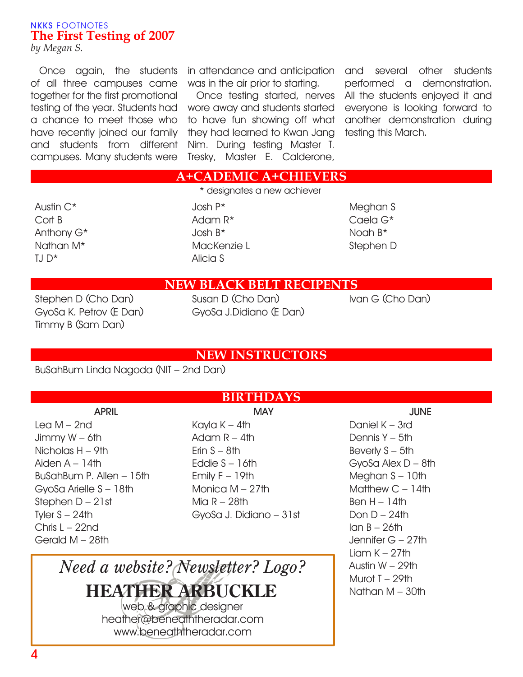#### **NKKS** FOOTNOTES **The First Testing of 2007**

*by Megan S.*

Once again, the students of all three campuses came together for the first promotional testing of the year. Students had wore away and students started a chance to meet those who have recently joined our family and students from different campuses. Many students were

was in the air prior to starting.

Once testing started, nerves to have fun showing off what they had learned to Kwan Jang Nim. During testing Master T. Tresky, Master E. Calderone,

in attendance and anticipation and several other students performed a demonstration. All the students enjoyed it and everyone is looking forward to another demonstration during testing this March.

#### **A+CADEMIC A+CHIEVERS** \* designates a new achiever

Austin C\* Cort B Anthony G\* Nathan M\*  $TJ D^*$ 

Josh P\* Adam R\* Josh B\* MacKenzie L Alicia S

Meghan S Caela G\* Noah B\* Stephen D

### **NEW BLACK BELT RECIPENTS**

Stephen D (Cho Dan) GyoSa K. Petrov (E Dan) Timmy B (Sam Dan)

Susan D (Cho Dan) GyoSa J.Didiano (E Dan) Ivan G (Cho Dan)

### **NEW INSTRUCTORS**

BuSahBum Linda Nagoda (NIT – 2nd Dan)

**APRIL** Lea M – 2nd Jimmy W – 6th Nicholas H – 9th Aiden  $A - 14$ th BuSahBum P. Allen – 15th GyoSa Arielle S – 18th Stephen D – 21st Tyler  $S - 24$ th Chris L – 22nd Gerald M – 28th

# **BIRTHDAYS**

**MAY** Kayla K – 4th Adam  $R - 4$ th Erin  $S - 8$ th Eddie S – 16th Emily  $F - 19$ th Monica M – 27th Mia R – 28th GyoSa J. Didiano – 31st

**JUNE** Daniel K – 3rd Dennis Y – 5th Beverly S – 5th GyoSa Alex D – 8th Meghan S – 10th Matthew C – 14th  $Ben H - 14th$ Don  $D - 24$ th  $lan B - 26th$ Jennifer G – 27th  $Liam K - 27th$ Austin W – 29th Murot T – 29th Nathan M – 30th

# *Need a website? Newsletter? Logo?* **HEATHER ARBUCKLE**

web & graphic designer heather@beneaththeradar.com www.beneaththeradar.com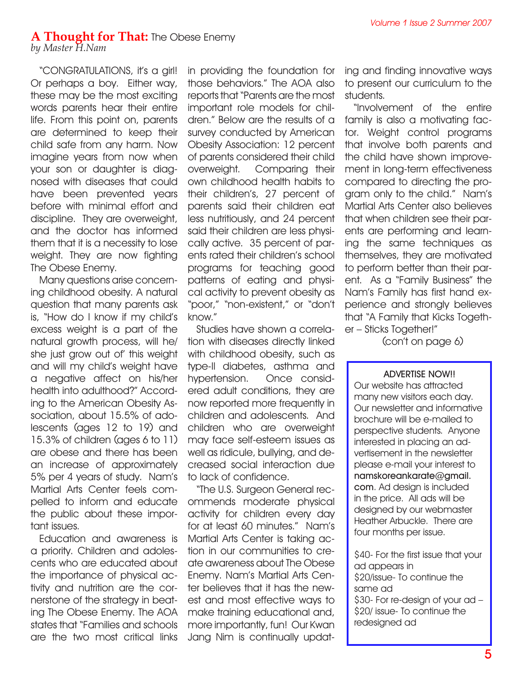#### **A Thought for That:** The Obese Enemy *by Master H.Nam*

"CONGRATULATIONS, it's a girl! Or perhaps a boy. Either way, these may be the most exciting words parents hear their entire life. From this point on, parents are determined to keep their child safe from any harm. Now imagine years from now when your son or daughter is diagnosed with diseases that could have been prevented years before with minimal effort and

discipline. They are overweight, and the doctor has informed them that it is a necessity to lose weight. They are now fighting The Obese Enemy.

Many questions arise concerning childhood obesity. A natural question that many parents ask is, "How do I know if my child's excess weight is a part of the natural growth process, will he/ she just grow out of' this weight and will my child's weight have a negative affect on his/her health into adulthood?" According to the American Obesity Association, about 15.5% of adolescents (ages 12 to 19) and 15.3% of children (ages 6 to 11) are obese and there has been an increase of approximately 5% per 4 years of study. Nam's Martial Arts Center feels compelled to inform and educate the public about these important issues.

Education and awareness is a priority. Children and adolescents who are educated about the importance of physical activity and nutrition are the cornerstone of the strategy in beating The Obese Enemy. The AOA states that "Families and schools are the two most critical links in providing the foundation for those behaviors." The AOA also reports that "Parents are the most important role models for children." Below are the results of a survey conducted by American Obesity Association: 12 percent of parents considered their child overweight. Comparing their own childhood health habits to their children's, 27 percent of parents said their children eat less nutritiously, and 24 percent said their children are less physically active. 35 percent of parents rated their children's school programs for teaching good patterns of eating and physical activity to prevent obesity as "poor," "non-existent," or "don't know."

Studies have shown a correlation with diseases directly linked with childhood obesity, such as type-II diabetes, asthma and hypertension. Once considered adult conditions, they are now reported more frequently in children and adolescents. And children who are overweight may face self-esteem issues as well as ridicule, bullying, and decreased social interaction due to lack of confidence.

"The U.S. Surgeon General recommends moderate physical activity for children every day for at least 60 minutes." Nam's Martial Arts Center is taking action in our communities to create awareness about The Obese Enemy. Nam's Martial Arts Center believes that it has the newest and most effective ways to make training educational and, more importantly, fun! Our Kwan Jang Nim is continually updating and finding innovative ways to present our curriculum to the students.

"Involvement of the entire family is also a motivating factor. Weight control programs that involve both parents and the child have shown improvement in long-term effectiveness compared to directing the program only to the child." Nam's Martial Arts Center also believes that when children see their parents are performing and learning the same techniques as themselves, they are motivated to perform better than their parent. As a "Family Business" the Nam's Family has first hand experience and strongly believes that "A Family that Kicks Together – Sticks Together!"

(con't on page 6)

#### **ADVERTISE NOW!!**

Our website has attracted many new visitors each day. Our newsletter and informative brochure will be e-mailed to perspective students. Anyone interested in placing an advertisement in the newsletter please e-mail your interest to **namskoreankarate@gmail. com**. Ad design is included in the price. All ads will be designed by our webmaster Heather Arbuckle. There are four months per issue.

\$40- For the first issue that your ad appears in \$20/issue- To continue the same ad \$30- For re-design of your ad – \$20/ issue- To continue the redesigned ad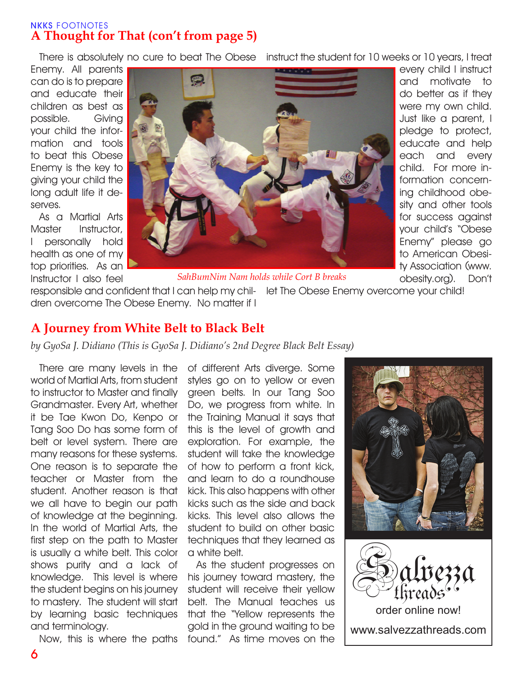#### **NKKS** FOOTNOTES **A Thought for That (con't from page 5)**

There is absolutely no cure to beat The Obese instruct the student for 10 weeks or 10 years, I treat

Enemy. All parents can do is to prepare and educate their children as best as possible. Giving your child the information and tools to beat this Obese Enemy is the key to giving your child the long adult life it deserves.

As a Martial Arts Master Instructor, I personally hold health as one of my top priorities. As an Instructor I also feel



every child I instruct and motivate to do better as if they were my own child. Just like a parent, I pledge to protect, educate and help each and every child. For more information concerning childhood obesity and other tools for success against your child's "Obese Enemy" please go to American Obesity Association (www. obesity.org). Don't

*SahBumNim Nam holds while Cort B breaks*

responsible and confident that I can help my chil-let The Obese Enemy overcome your child! dren overcome The Obese Enemy. No matter if I

# **A Journey from White Belt to Black Belt**

*by GyoSa J. Didiano (This is GyoSa J. Didiano's 2nd Degree Black Belt Essay)*

There are many levels in the world of Martial Arts, from student to instructor to Master and finally Grandmaster. Every Art, whether it be Tae Kwon Do, Kenpo or Tang Soo Do has some form of belt or level system. There are many reasons for these systems. One reason is to separate the teacher or Master from the student. Another reason is that we all have to begin our path of knowledge at the beginning. In the world of Martial Arts, the first step on the path to Master is usually a white belt. This color shows purity and a lack of knowledge. This level is where the student begins on his journey to mastery. The student will start by learning basic techniques and terminology.

Now, this is where the paths

of different Arts diverge. Some styles go on to yellow or even green belts. In our Tang Soo Do, we progress from white. In the Training Manual it says that this is the level of growth and exploration. For example, the student will take the knowledge of how to perform a front kick, and learn to do a roundhouse kick. This also happens with other kicks such as the side and back kicks. This level also allows the student to build on other basic techniques that they learned as a white belt.

As the student progresses on his journey toward mastery, the student will receive their yellow belt. The Manual teaches us that the "Yellow represents the gold in the ground waiting to be found." As time moves on the